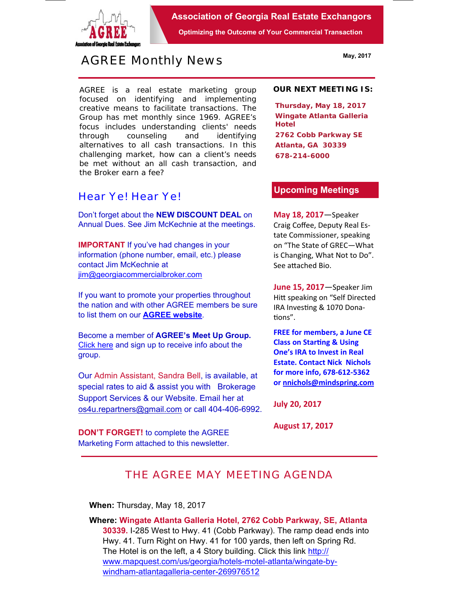

**Association of Georgia Real Estate Exchangors** 

**Optimizing the Outcome of Your Commercial Transaction** 

# *AGREE Monthly News*

AGREE is a real estate marketing group focused on identifying and implementing creative means to facilitate transactions. *The Group has met monthly since 1969.* AGREE's focus includes understanding clients' needs through counseling and identifying alternatives to all cash transactions. In this challenging market, how can a client's needs be met without an all cash transaction, and the Broker earn a fee?

## *Hear Ye! Hear Ye!*

Don't forget about the **NEW DISCOUNT DEAL** on Annual Dues. See Jim McKechnie at the meetings.

**IMPORTANT** If you've had changes in your information (phone number, email, etc.) please contact Jim McKechnie at ijm@georgiacommercialbroker.com

If you want to promote your properties throughout the nation and with other AGREE members be sure to list them on our **AGREE website**.

Become a member of **AGREE's Meet Up Group.**  Click here and sign up to receive info about the group.

Our Admin Assistant, Sandra Bell, is available, at special rates to aid & assist you with Brokerage Support Services & our Website. Email her at os4u.repartners@gmail.com or call 404-406-6992.

**DON'T FORGET!** to complete the AGREE Marketing Form attached to this newsletter.

#### **OUR NEXT MEETING IS:**

**Thursday, May 18, 2017 Wingate Atlanta Galleria Hotel 2762 Cobb Parkway SE Atlanta, GA 30339 678-214-6000** 

#### **Upcoming Meetings**

**May 18, 2017**—Speaker Craig Coffee, Deputy Real Es‐ tate Commissioner, speaking on "The State of GREC—What is Changing, What Not to Do". See attached Bio.

**June 15, 2017**—Speaker Jim Hitt speaking on "Self Directed IRA Investing & 1070 Donations".

**FREE for members, a June CE Class on Starting & Using One's IRA to Invest in Real Estate. Contact Nick Nichols for more info, 678‐612‐5362 or nnichols@mindspring.com** 

**July 20, 2017** 

**August 17, 2017** 

## *THE AGREE MAY MEETING AGENDA*

**When:** Thursday, May 18, 2017

**Where: Wingate Atlanta Galleria Hotel, 2762 Cobb Parkway, SE, Atlanta 30339.** I-285 West to Hwy. 41 (Cobb Parkway). The ramp dead ends into Hwy. 41. Turn Right on Hwy. 41 for 100 yards, then left on Spring Rd. The Hotel is on the left, a 4 Story building. Click this link http:// www.mapquest.com/us/georgia/hotels-motel-atlanta/wingate-bywindham-atlantagalleria-center-269976512

**May, 2017**